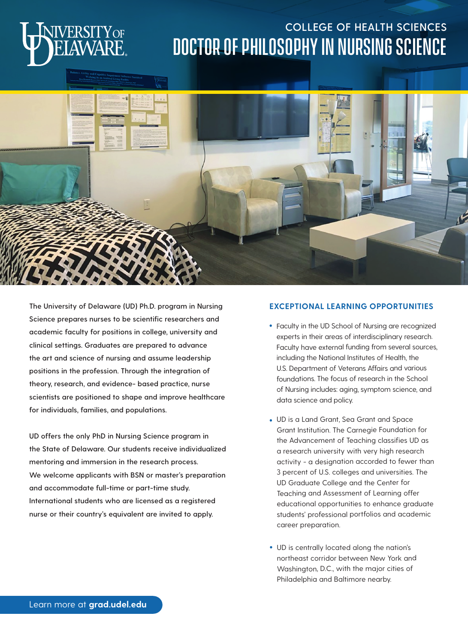

## **COLLEGE OF HEALTH SCIENCES** Doctor of Philosophy in Nursing Science



**The University of Delaware (UD) Ph.D. program in Nursing Science prepares nurses to be scientific researchers and academic faculty for positions in college, university and clinical settings. Graduates are prepared to advance the art and science of nursing and assume leadership positions in the profession. Through the integration of theory, research, and evidence- based practice, nurse scientists are positioned to shape and improve healthcare for individuals, families, and populations.**

**UD offers the only PhD in Nursing Science program in the State of Delaware. Our students receive individualized mentoring and immersion in the research process. We welcome applicants with BSN or master's preparation and accommodate full-time or part-time study. International students who are licensed as a registered nurse or their country's equivalent are invited to apply.**

#### **EXCEPTIONAL LEARNING OPPORTUNITIES**

- Faculty in the UD School of Nursing are recognized experts in their areas of interdisciplinary research. Faculty have external funding from several sources, including the National Institutes of Health, the U.S. Department of Veterans Affairs and various foundations. The focus of research in the School of Nursing includes: aging, symptom science, and data science and policy.
- UD is a Land Grant, Sea Grant and Space Grant Institution. The Carnegie Foundation for the Advancement of Teaching classifies UD as a research university with very high research activity - a designation accorded to fewer than 3 percent of U.S. colleges and universities. The UD Graduate College and the Center for Teaching and Assessment of Learning offer educational opportunities to enhance graduate students' professional portfolios and academic career preparation.
- UD is centrally located along the nation's northeast corridor between New York and Washington, D.C., with the major cities of Philadelphia and Baltimore nearby.